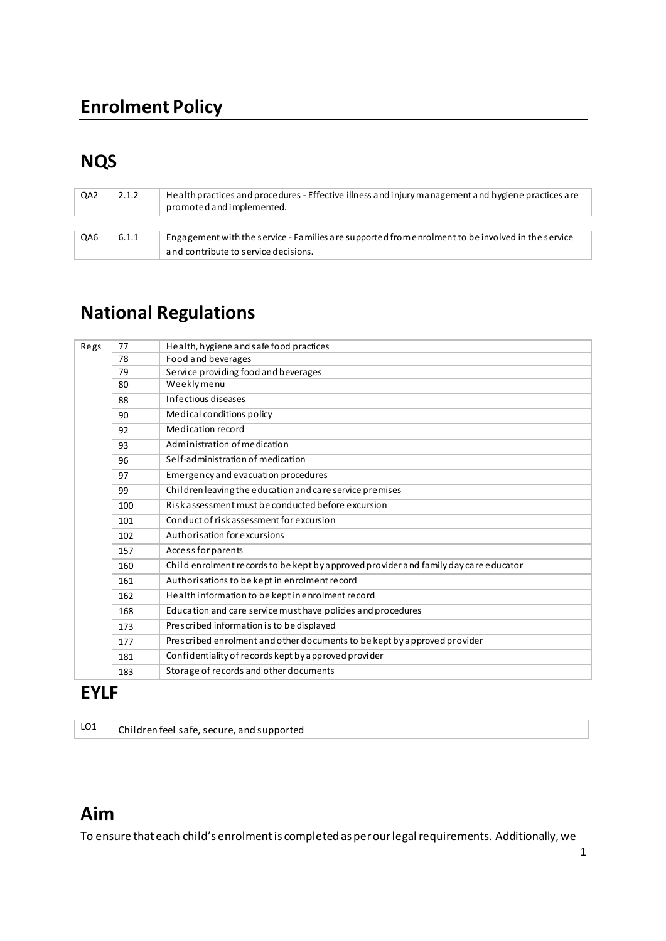# **NQS**

| QA <sub>2</sub> | 2.1.2 | Health practices and procedures - Effective illness and injury management and hygiene practices are<br>promoted and implemented. |
|-----------------|-------|----------------------------------------------------------------------------------------------------------------------------------|
|                 |       |                                                                                                                                  |
| QA6             | 6.1.1 | Engagement with the service - Families are supported from enrolment to be involved in the service                                |
|                 |       | and contribute to service decisions.                                                                                             |

# **National Regulations**

| Regs | 77  | Health, hygiene and safe food practices                                               |
|------|-----|---------------------------------------------------------------------------------------|
|      | 78  | Food and beverages                                                                    |
|      | 79  | Service providing food and beverages                                                  |
|      | 80  | Weeklymenu                                                                            |
|      | 88  | Infectious diseases                                                                   |
|      | 90  | Medical conditions policy                                                             |
|      | 92  | Medication record                                                                     |
|      | 93  | Administration of medication                                                          |
|      | 96  | Self-administration of medication                                                     |
|      | 97  | Emergency and evacuation procedures                                                   |
|      | 99  | Children leaving the education and care service premises                              |
|      | 100 | Riskassessment must be conducted before excursion                                     |
|      | 101 | Conduct of risk assessment for excursion                                              |
|      | 102 | Authorisation for excursions                                                          |
|      | 157 | Access for parents                                                                    |
|      | 160 | Child enrolment records to be kept by a pproved provider and family day care educator |
|      | 161 | Authorisations to be kept in enrolment record                                         |
|      | 162 | Health information to be kept in enrolment record                                     |
|      | 168 | Education and care service must have policies and procedures                          |
|      | 173 | Prescribed information is to be displayed                                             |
|      | 177 | Prescribed enrolment and other documents to be kept by approved provider              |
|      | 181 | Confidentiality of records kept by a pproved provider                                 |
|      | 183 | Storage of records and other documents                                                |

## **EYLF**

| LO1 | Children feel safe, secure, and supported |
|-----|-------------------------------------------|
|-----|-------------------------------------------|

# Aim

To ensure that each child's enrolment is completed as per our legal requirements. Additionally, we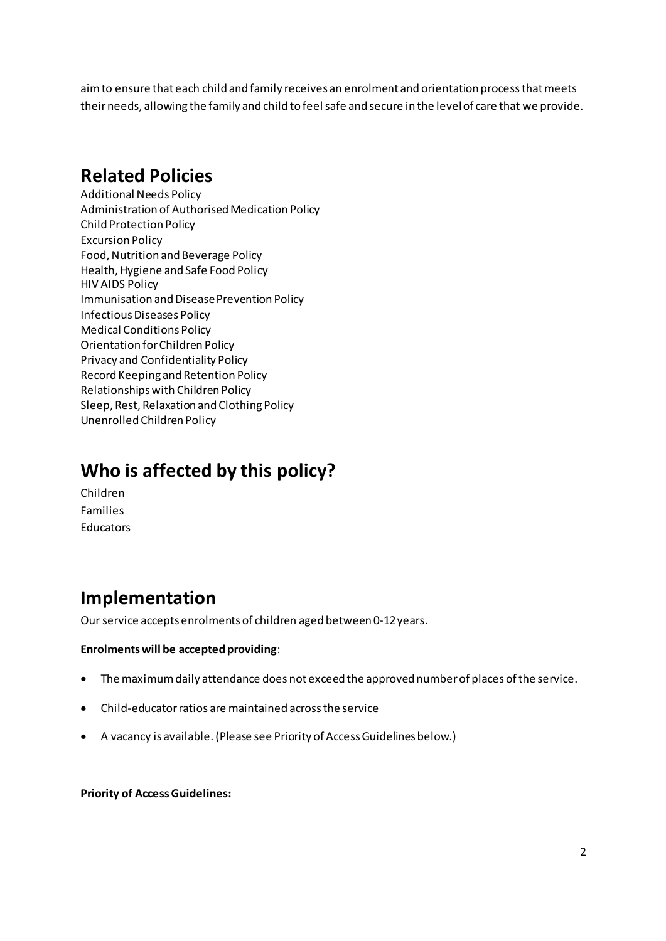aim to ensure that each child and family receives an enrolment and orientation process that meets their needs, allowing the family and child to feel safe and secure in the level of care that we provide.

## **Related Policies**

Additional Needs Policy Administration of Authorised Medication Policy Child Protection Policy Excursion Policy Food, Nutrition and Beverage Policy Health, Hygiene and Safe Food Policy HIV AIDS Policy Immunisation and Disease Prevention Policy Infectious Diseases Policy Medical Conditions Policy Orientation for Children Policy Privacy and Confidentiality Policy Record Keeping and Retention Policy Relationships with Children Policy Sleep, Rest, Relaxation and Clothing Policy Unenrolled Children Policy

## **Who is affected by this policy?**

Children Families Educators

## **Implementation**

Our service accepts enrolments of children aged between 0-12 years.

#### **Enrolments will be accepted providing**:

- The maximum daily attendance does not exceed the approved number of places of the service.
- Child-educator ratios are maintained across the service
- A vacancy is available. (Please see Priority of Access Guidelines below.)

**Priority of Access Guidelines:**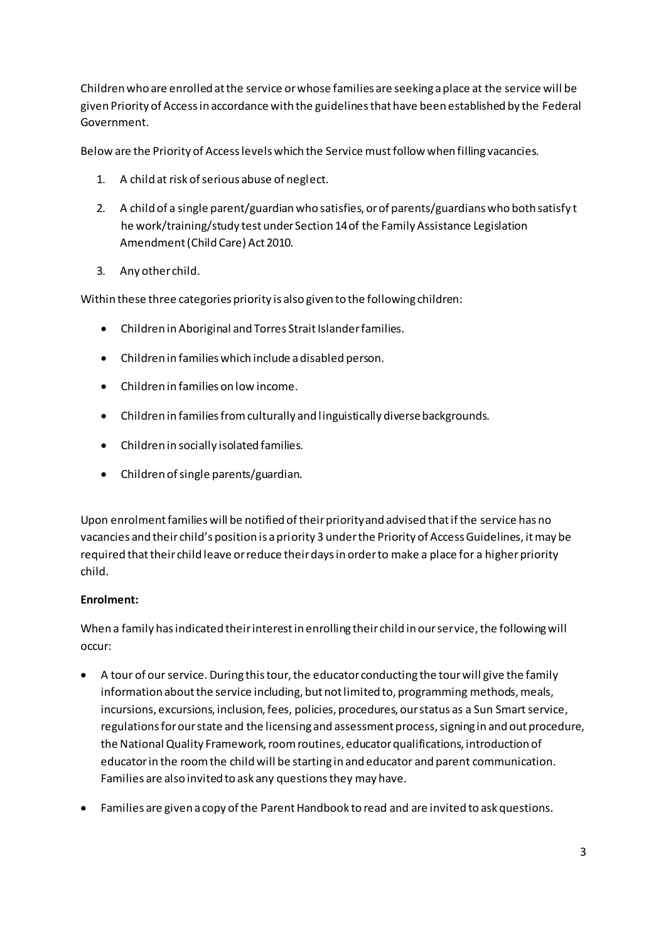Children who are enrolled at the service or whose families are seeking a place at the service will be given Priority of Access in accordance with the guidelines that have been established by the Federal Government.

Below are the Priority of Access levels which the Service must follow when filling vacancies.

- 1. A child at risk of serious abuse of neglect.
- 2. A child of a single parent/guardian who satisfies, or of parents/guardians who both satisfy t he work/training/study test under Section 14 of the Family Assistance Legislation Amendment (Child Care) Act 2010.
- 3. Any other child.

Within these three categories priority is also given to the following children:

- Children in Aboriginal and Torres Strait Islander families.
- Children in families which include a disabled person.
- Children in families on low income.
- Children in families from culturally and linguistically diverse backgrounds.
- Children in socially isolated families.
- Children of single parents/guardian.

Upon enrolment families will be notified of their priority and advised that if the service has no vacancies and their child's position is a priority 3 under the Priority of Access Guidelines, it may be required that their child leave or reduce their days in order to make a place for a higher priority child.

#### **Enrolment:**

When a family has indicated their interest in enrolling their child in our service, the following will occur:

- A tour of our service. During this tour, the educator conducting the tour will give the family information about the service including, but not limited to, programming methods, meals, incursions, excursions, inclusion, fees, policies, procedures, our status as a Sun Smart service, regulations for our state and the licensing and assessment process, signing in and out procedure, the National Quality Framework, room routines, educator qualifications, introduction of educator in the room the child will be starting in and educator and parent communication. Families are also invited to ask any questions they may have.
- Families are given a copy of the Parent Handbook to read and are invited to ask questions.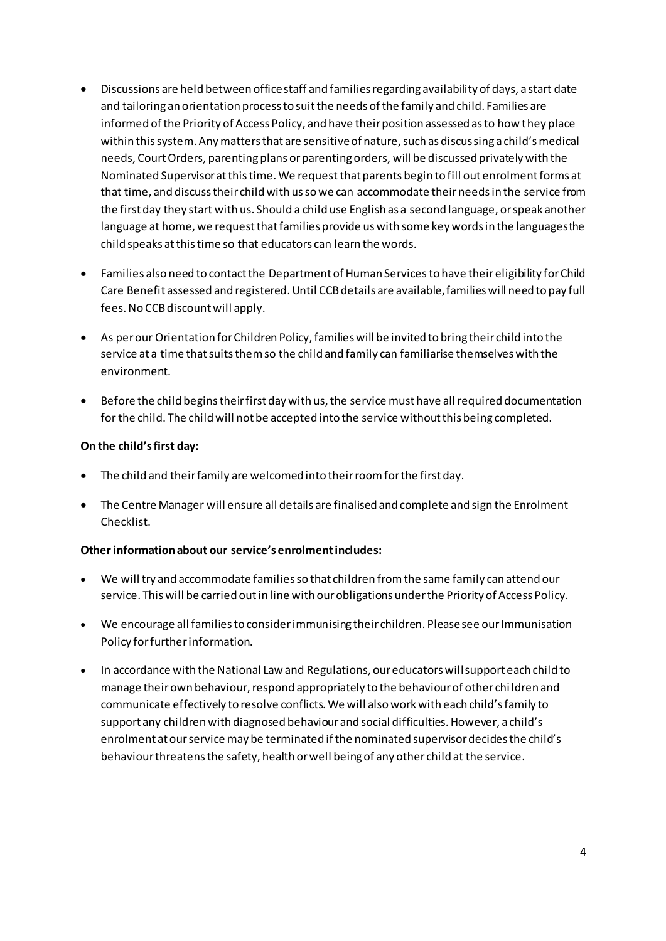- Discussions are held between office staff and families regarding availability of days, a start date and tailoring an orientation process to suit the needs of the family and child. Families are informed of the Priority of Access Policy, and have their position assessed as to how they place within this system. Any matters that are sensitive of nature, such as discussing a child's medical needs, Court Orders, parenting plans or parenting orders, will be discussed privately with the Nominated Supervisor at this time. We request that parents begin to fill out enrolment forms at that time, and discuss their child with us so we can accommodate their needs in the service from the first day they start with us. Should a child use English as a second language, or speak another language at home, we request that families provide us with some key words in the languages the child speaks at this time so that educators can learn the words.
- Families also need to contact the Department of Human Services to have their eligibility for Child Care Benefit assessed and registered. Until CCB details are available, families will need to pay full fees. No CCB discount will apply.
- As per our Orientation for Children Policy, families will be invited to bring their child into the service at a time that suits them so the child and family can familiarise themselves with the environment.
- Before the child begins their first day with us, the service must have all required documentation for the child. The child will not be accepted into the service without this being completed.

#### On the child's first day:

- The child and their family are welcomed into their room for the first day.
- The Centre Manager will ensure all details are finalised and complete and sign the Enrolment Checklist.

#### Other information about our service's enrolment includes:

- We will try and accommodate families so that children from the same family can attend our service. This will be carried out in line with our obligations under the Priority of Access Policy.
- We encourage all families to consider immunising their children. Please see our Immunisation Policy for further information.
- In accordance with the National Law and Regulations, our educators will support each child to manage their own behaviour, respond appropriately to the behaviour of other children and communicate effectively to resolve conflicts. We will also work with each child's family to support any children with diagnosed behaviour and social difficulties. However, a child's enrolment at our service may be terminated if the nominated supervisor decides the child's behaviour threatens the safety, health or well being of any other child at the service.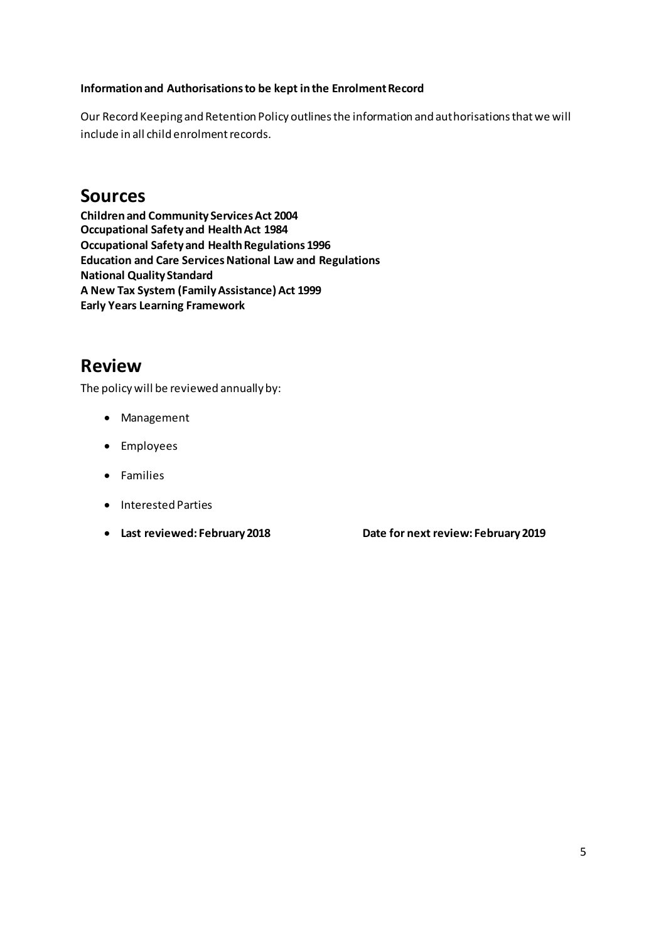#### **Information and Authorisations to be kept in the Enrolment Record**

Our Record Keeping and Retention Policy outlines the information and authorisations that we will include in all child enrolment records.

### **Sources**

**Children and Community Services Act 2004 Occupational Safety and Health Act 1984 Occupational Safety and Health Regulations 1996 Education and Care Services National Law and Regulations National Quality Standard A New Tax System (Family Assistance) Act 1999 Early Years Learning Framework** 

## **Review**

The policy will be reviewed annually by:

- Management
- Employees
- Families
- Interested Parties
- 

• **Last reviewed: February 2018 Date for next review: February 2019**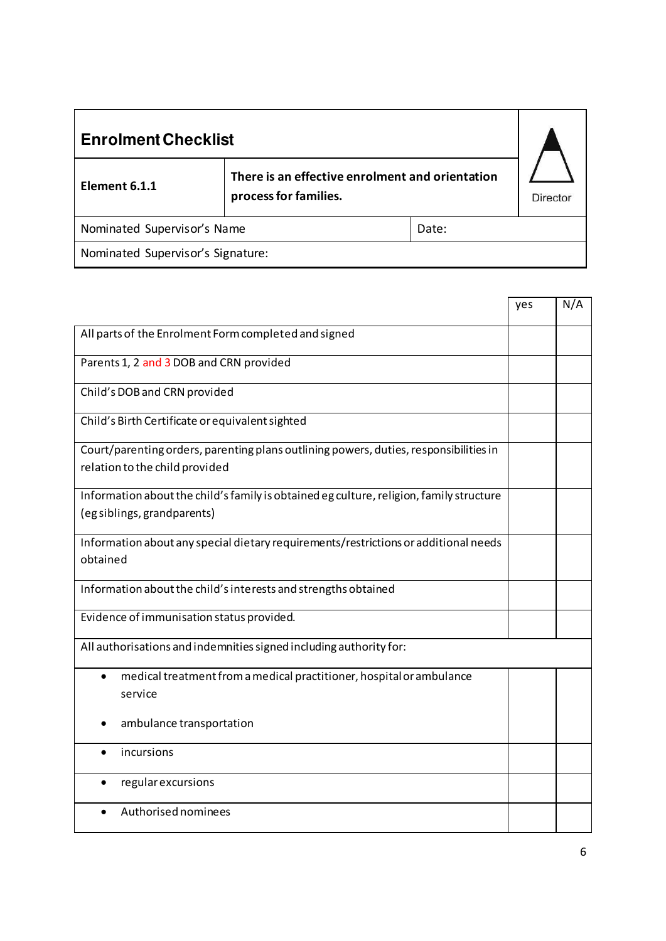| <b>Enrolment Checklist</b>                                                                |  |                 |  |
|-------------------------------------------------------------------------------------------|--|-----------------|--|
| There is an effective enrolment and orientation<br>Element 6.1.1<br>process for families. |  | <b>Director</b> |  |
| Nominated Supervisor's Name<br>Date:                                                      |  |                 |  |
| Nominated Supervisor's Signature:                                                         |  |                 |  |

|                                                                                         | yes | N/A |
|-----------------------------------------------------------------------------------------|-----|-----|
| All parts of the Enrolment Form completed and signed                                    |     |     |
| Parents 1, 2 and 3 DOB and CRN provided                                                 |     |     |
| Child's DOB and CRN provided                                                            |     |     |
| Child's Birth Certificate or equivalent sighted                                         |     |     |
| Court/parenting orders, parenting plans outlining powers, duties, responsibilities in   |     |     |
| relation to the child provided                                                          |     |     |
| Information about the child's family is obtained eg culture, religion, family structure |     |     |
| (eg siblings, grandparents)                                                             |     |     |
| Information about any special dietary requirements/restrictions or additional needs     |     |     |
| obtained                                                                                |     |     |
| Information about the child's interests and strengths obtained                          |     |     |
| Evidence of immunisation status provided.                                               |     |     |
| All authorisations and indemnities signed including authority for:                      |     |     |
| medical treatment from a medical practitioner, hospital or ambulance<br>$\bullet$       |     |     |
| service                                                                                 |     |     |
| ambulance transportation                                                                |     |     |
| incursions<br>$\bullet$                                                                 |     |     |
| regular excursions                                                                      |     |     |
| Authorised nominees                                                                     |     |     |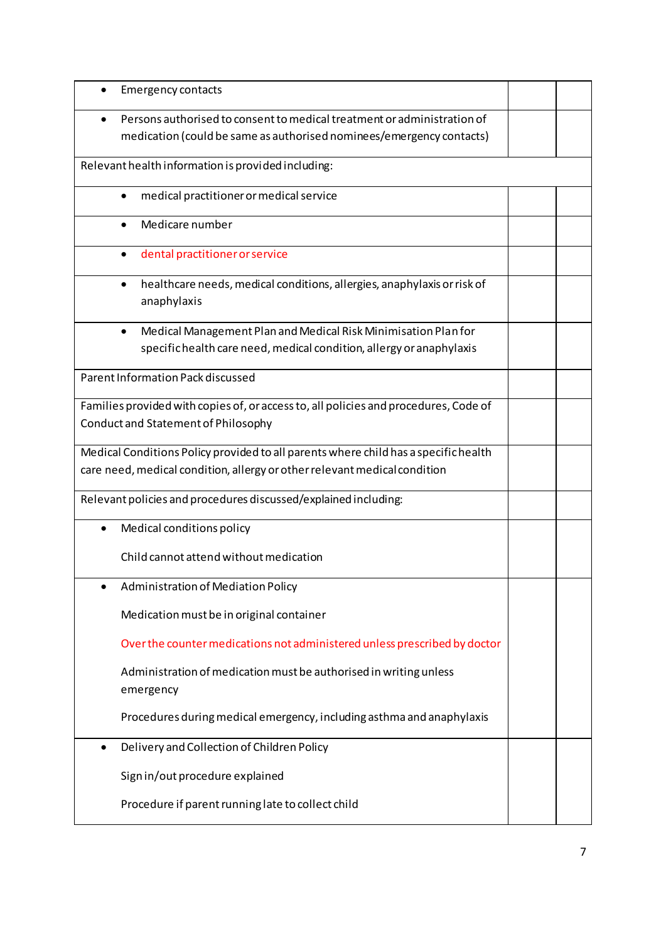| <b>Emergency contacts</b>                                                                                                                                        |  |  |
|------------------------------------------------------------------------------------------------------------------------------------------------------------------|--|--|
| Persons authorised to consent to medical treatment or administration of                                                                                          |  |  |
| medication (could be same as authorised nominees/emergency contacts)                                                                                             |  |  |
| Relevant health information is provided including:                                                                                                               |  |  |
| medical practitioner or medical service                                                                                                                          |  |  |
| Medicare number                                                                                                                                                  |  |  |
| dental practitioner or service<br>$\bullet$                                                                                                                      |  |  |
| healthcare needs, medical conditions, allergies, anaphylaxis or risk of<br>$\bullet$<br>anaphylaxis                                                              |  |  |
| Medical Management Plan and Medical Risk Minimisation Plan for<br>$\bullet$<br>specific health care need, medical condition, allergy or anaphylaxis              |  |  |
| Parent Information Pack discussed                                                                                                                                |  |  |
| Families provided with copies of, or access to, all policies and procedures, Code of<br>Conduct and Statement of Philosophy                                      |  |  |
| Medical Conditions Policy provided to all parents where child has a specific health<br>care need, medical condition, allergy or other relevant medical condition |  |  |
| Relevant policies and procedures discussed/explained including:                                                                                                  |  |  |
| Medical conditions policy                                                                                                                                        |  |  |
| Child cannot attend without medication                                                                                                                           |  |  |
| Administration of Mediation Policy                                                                                                                               |  |  |
| Medication must be in original container                                                                                                                         |  |  |
| Over the counter medications not administered unless prescribed by doctor                                                                                        |  |  |
| Administration of medication must be authorised in writing unless<br>emergency                                                                                   |  |  |
| Procedures during medical emergency, including asthma and anaphylaxis                                                                                            |  |  |
| Delivery and Collection of Children Policy<br>$\bullet$                                                                                                          |  |  |
| Sign in/out procedure explained                                                                                                                                  |  |  |
| Procedure if parent running late to collect child                                                                                                                |  |  |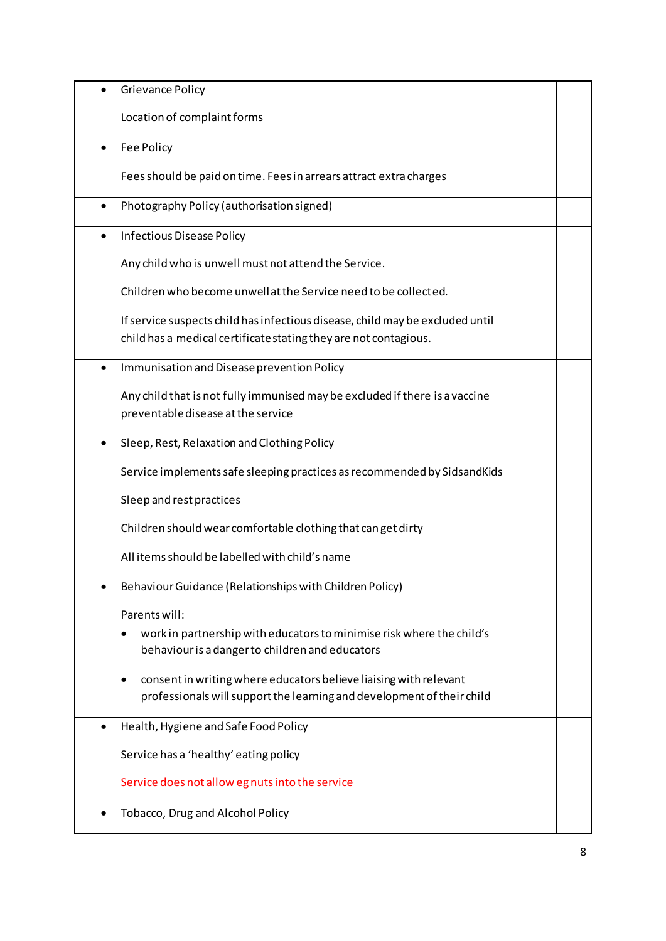|           | <b>Grievance Policy</b>                                                                                                                           |  |
|-----------|---------------------------------------------------------------------------------------------------------------------------------------------------|--|
|           | Location of complaint forms                                                                                                                       |  |
| $\bullet$ | Fee Policy                                                                                                                                        |  |
|           | Fees should be paid on time. Fees in arrears attract extra charges                                                                                |  |
|           | Photography Policy (authorisation signed)                                                                                                         |  |
| ٠         | Infectious Disease Policy                                                                                                                         |  |
|           | Any child who is unwell must not attend the Service.                                                                                              |  |
|           | Children who become unwell at the Service need to be collected.                                                                                   |  |
|           | If service suspects child has infectious disease, child may be excluded until<br>child has a medical certificate stating they are not contagious. |  |
| $\bullet$ | Immunisation and Disease prevention Policy                                                                                                        |  |
|           | Any child that is not fully immunised may be excluded if there is a vaccine<br>preventable disease at the service                                 |  |
| $\bullet$ | Sleep, Rest, Relaxation and Clothing Policy                                                                                                       |  |
|           | Service implements safe sleeping practices as recommended by SidsandKids                                                                          |  |
|           | Sleep and rest practices                                                                                                                          |  |
|           | Children should wear comfortable clothing that can get dirty                                                                                      |  |
|           | All items should be labelled with child's name                                                                                                    |  |
|           | Behaviour Guidance (Relationships with Children Policy)                                                                                           |  |
|           | Parents will:                                                                                                                                     |  |
|           | work in partnership with educators to minimise risk where the child's<br>behaviour is a danger to children and educators                          |  |
|           | consent in writing where educators believe liaising with relevant<br>professionals will support the learning and development of their child       |  |
|           | Health, Hygiene and Safe Food Policy                                                                                                              |  |
|           | Service has a 'healthy' eating policy                                                                                                             |  |
|           | Service does not allow eg nuts into the service                                                                                                   |  |
| $\bullet$ | Tobacco, Drug and Alcohol Policy                                                                                                                  |  |